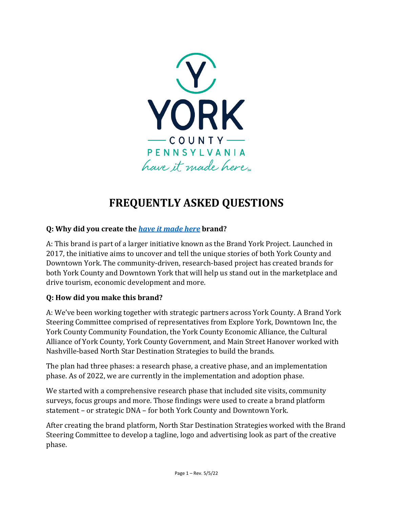

# **FREQUENTLY ASKED QUESTIONS**

## **Q: Why did you create the** *[have it made here](https://www.yorkpa.org/york-county-brand/)* **brand?**

A: This brand is part of a larger initiative known as the Brand York Project. Launched in 2017, the initiative aims to uncover and tell the unique stories of both York County and Downtown York. The community-driven, research-based project has created brands for both York County and Downtown York that will help us stand out in the marketplace and drive tourism, economic development and more.

#### **Q: How did you make this brand?**

A: We've been working together with strategic partners across York County. A Brand York Steering Committee comprised of representatives from Explore York, Downtown Inc, the York County Community Foundation, the York County Economic Alliance, the Cultural Alliance of York County, York County Government, and Main Street Hanover worked with Nashville-based North Star Destination Strategies to build the brands.

The plan had three phases: a research phase, a creative phase, and an implementation phase. As of 2022, we are currently in the implementation and adoption phase.

We started with a comprehensive research phase that included site visits, community surveys, focus groups and more. Those findings were used to create a brand platform statement – or strategic DNA – for both York County and Downtown York.

After creating the brand platform, North Star Destination Strategies worked with the Brand Steering Committee to develop a tagline, logo and advertising look as part of the creative phase.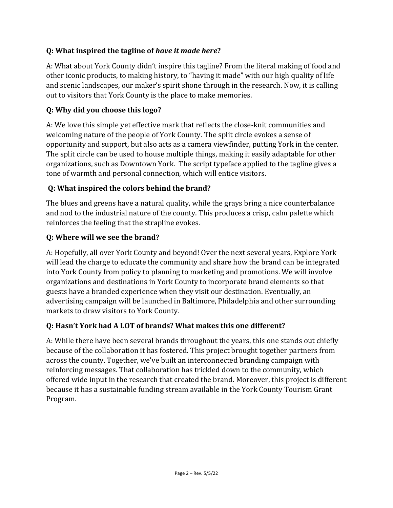## **Q: What inspired the tagline of** *have it made here***?**

A: What about York County didn't inspire this tagline? From the literal making of food and other iconic products, to making history, to "having it made" with our high quality of life and scenic landscapes, our maker's spirit shone through in the research. Now, it is calling out to visitors that York County is the place to make memories.

## **Q: Why did you choose this logo?**

A: We love this simple yet effective mark that reflects the close-knit communities and welcoming nature of the people of York County. The split circle evokes a sense of opportunity and support, but also acts as a camera viewfinder, putting York in the center. The split circle can be used to house multiple things, making it easily adaptable for other organizations, such as Downtown York. The script typeface applied to the tagline gives a tone of warmth and personal connection, which will entice visitors.

## **Q: What inspired the colors behind the brand?**

The blues and greens have a natural quality, while the grays bring a nice counterbalance and nod to the industrial nature of the county. This produces a crisp, calm palette which reinforces the feeling that the strapline evokes.

#### **Q: Where will we see the brand?**

A: Hopefully, all over York County and beyond! Over the next several years, Explore York will lead the charge to educate the community and share how the brand can be integrated into York County from policy to planning to marketing and promotions. We will involve organizations and destinations in York County to incorporate brand elements so that guests have a branded experience when they visit our destination. Eventually, an advertising campaign will be launched in Baltimore, Philadelphia and other surrounding markets to draw visitors to York County.

#### **Q: Hasn't York had A LOT of brands? What makes this one different?**

A: While there have been several brands throughout the years, this one stands out chiefly because of the collaboration it has fostered. This project brought together partners from across the county. Together, we've built an interconnected branding campaign with reinforcing messages. That collaboration has trickled down to the community, which offered wide input in the research that created the brand. Moreover, this project is different because it has a sustainable funding stream available in the York County Tourism Grant Program.